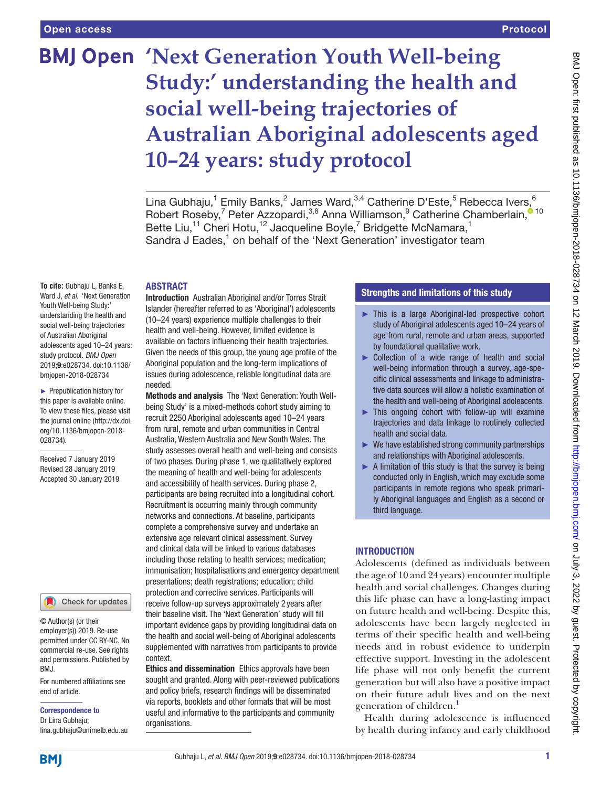# **BMJ Open 'Next Generation Youth Well-being Study:' understanding the health and social well-being trajectories of Australian Aboriginal adolescents aged 10–24 years: study protocol**

Lina Gubhaju, $^1$  Emily Banks, $^2$  James Ward, $^{3,4}$  Catherine D'Este, $^5$  Rebecca Ivers, $^6$ Robert Roseby,<sup>7</sup> Peter Azzopardi,<sup>3,8</sup> Anna Williamson,<sup>9</sup> Catherine Chamberlain,<sup>010</sup> Bette Liu,<sup>11</sup> Cheri Hotu,<sup>12</sup> Jacqueline Boyle,<sup>7</sup> Bridgette McNamara,<sup>1</sup> Sandra J Eades,<sup>1</sup> on behalf of the 'Next Generation' investigator team

# **ABSTRACT**

**To cite:** Gubhaju L, Banks E, Ward J, *et al*. 'Next Generation Youth Well-being Study:' understanding the health and social well-being trajectories of Australian Aboriginal adolescents aged 10–24 years: study protocol. *BMJ Open* 2019;9:e028734. doi:10.1136/ bmjopen-2018-028734

► Prepublication history for this paper is available online. To view these files, please visit the journal online [\(http://dx.doi.](http://dx.doi.org/10.1136/bmjopen-2018-028734) [org/10.1136/bmjopen-2018-](http://dx.doi.org/10.1136/bmjopen-2018-028734) [028734\)](http://dx.doi.org/10.1136/bmjopen-2018-028734).

Received 7 January 2019 Revised 28 January 2019 Accepted 30 January 2019



© Author(s) (or their employer(s)) 2019. Re-use permitted under CC BY-NC. No commercial re-use. See rights and permissions. Published by BMJ.

For numbered affiliations see end of article.

Correspondence to Dr Lina Gubhaju; lina.gubhaju@unimelb.edu.au Introduction Australian Aboriginal and/or Torres Strait Islander (hereafter referred to as 'Aboriginal') adolescents (10–24 years) experience multiple challenges to their health and well-being. However, limited evidence is available on factors influencing their health trajectories. Given the needs of this group, the young age profile of the Aboriginal population and the long-term implications of issues during adolescence, reliable longitudinal data are needed.

Methods and analysis The 'Next Generation: Youth Wellbeing Study' is a mixed-methods cohort study aiming to recruit 2250 Aboriginal adolescents aged 10–24 years from rural, remote and urban communities in Central Australia, Western Australia and New South Wales. The study assesses overall health and well-being and consists of two phases. During phase 1, we qualitatively explored the meaning of health and well-being for adolescents and accessibility of health services. During phase 2, participants are being recruited into a longitudinal cohort. Recruitment is occurring mainly through community networks and connections. At baseline, participants complete a comprehensive survey and undertake an extensive age relevant clinical assessment. Survey and clinical data will be linked to various databases including those relating to health services; medication; immunisation; hospitalisations and emergency department presentations; death registrations; education; child protection and corrective services. Participants will receive follow-up surveys approximately 2 years after their baseline visit. The 'Next Generation' study will fill important evidence gaps by providing longitudinal data on the health and social well-being of Aboriginal adolescents supplemented with narratives from participants to provide context.

**Ethics and dissemination** Ethics approvals have been sought and granted. Along with peer-reviewed publications and policy briefs, research findings will be disseminated via reports, booklets and other formats that will be most useful and informative to the participants and community organisations.

# Strengths and limitations of this study

- ► This is a large Aboriginal-led prospective cohort study of Aboriginal adolescents aged 10–24 years of age from rural, remote and urban areas, supported by foundational qualitative work.
- ► Collection of a wide range of health and social well-being information through a survey, age-specific clinical assessments and linkage to administrative data sources will allow a holistic examination of the health and well-being of Aboriginal adolescents.
- ► This ongoing cohort with follow-up will examine trajectories and data linkage to routinely collected health and social data.
- $\blacktriangleright$  We have established strong community partnerships and relationships with Aboriginal adolescents.
- $\blacktriangleright$  A limitation of this study is that the survey is being conducted only in English, which may exclude some participants in remote regions who speak primarily Aboriginal languages and English as a second or third language.

# **INTRODUCTION**

Adolescents (defined as individuals between the age of 10 and 24 years) encounter multiple health and social challenges. Changes during this life phase can have a long-lasting impact on future health and well-being. Despite this, adolescents have been largely neglected in terms of their specific health and well-being needs and in robust evidence to underpin effective support. Investing in the adolescent life phase will not only benefit the current generation but will also have a positive impact on their future adult lives and on the next generation of children.<sup>[1](#page-7-0)</sup>

Health during adolescence is influenced by health during infancy and early childhood

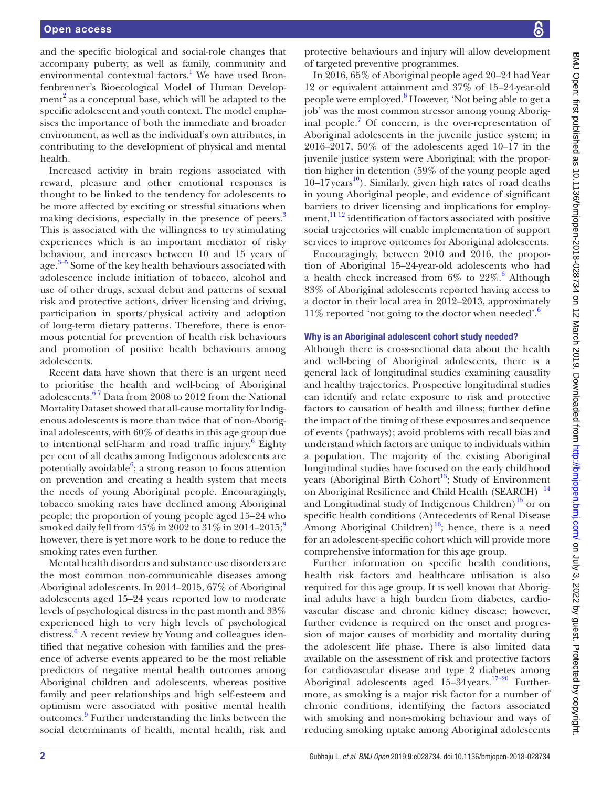and the specific biological and social-role changes that accompany puberty, as well as family, community and environmental contextual factors.<sup>[1](#page-7-0)</sup> We have used Bronfenbrenner's Bioecological Model of Human Develop-ment<sup>[2](#page-7-1)</sup> as a conceptual base, which will be adapted to the specific adolescent and youth context. The model emphasises the importance of both the immediate and broader environment, as well as the individual's own attributes, in contributing to the development of physical and mental health.

Increased activity in brain regions associated with reward, pleasure and other emotional responses is thought to be linked to the tendency for adolescents to be more affected by exciting or stressful situations when making decisions, especially in the presence of peers.<sup>[3](#page-7-2)</sup> This is associated with the willingness to try stimulating experiences which is an important mediator of risky behaviour, and increases between 10 and 15 years of age.<sup>3-5</sup> Some of the key health behaviours associated with adolescence include initiation of tobacco, alcohol and use of other drugs, sexual debut and patterns of sexual risk and protective actions, driver licensing and driving, participation in sports/physical activity and adoption of long-term dietary patterns. Therefore, there is enormous potential for prevention of health risk behaviours and promotion of positive health behaviours among adolescents.

Recent data have shown that there is an urgent need to prioritise the health and well-being of Aboriginal adolescents. $67$  Data from 2008 to 2012 from the National Mortality Dataset showed that all-cause mortality for Indigenous adolescents is more than twice that of non-Aboriginal adolescents, with 60% of deaths in this age group due to intentional self-harm and road traffic injury.<sup>[6](#page-7-3)</sup> Eighty per cent of all deaths among Indigenous adolescents are potentially avoidable<sup>[6](#page-7-3)</sup>; a strong reason to focus attention on prevention and creating a health system that meets the needs of young Aboriginal people. Encouragingly, tobacco smoking rates have declined among Aboriginal people; the proportion of young people aged 15–24 who smoked daily fell from  $45\%$  in  $2002$  to  $31\%$  in  $2014-2015$ ;<sup>[8](#page-7-4)</sup> however, there is yet more work to be done to reduce the smoking rates even further.

Mental health disorders and substance use disorders are the most common non-communicable diseases among Aboriginal adolescents. In 2014–2015, 67% of Aboriginal adolescents aged 15–24 years reported low to moderate levels of psychological distress in the past month and 33% experienced high to very high levels of psychological distress.<sup>[6](#page-7-3)</sup> A recent review by Young and colleagues identified that negative cohesion with families and the presence of adverse events appeared to be the most reliable predictors of negative mental health outcomes among Aboriginal children and adolescents, whereas positive family and peer relationships and high self-esteem and optimism were associated with positive mental health outcomes.<sup>[9](#page-7-5)</sup> Further understanding the links between the social determinants of health, mental health, risk and

protective behaviours and injury will allow development of targeted preventive programmes.

In 2016, 65% of Aboriginal people aged 20–24 had Year 12 or equivalent attainment and 37% of 15–24-year-old people were employed.<sup>[8](#page-7-4)</sup> However, 'Not being able to get a job' was the most common stressor among young Aboriginal people. $7$  Of concern, is the over-representation of Aboriginal adolescents in the juvenile justice system; in 2016–2017, 50% of the adolescents aged 10–17 in the juvenile justice system were Aboriginal; with the proportion higher in detention (59% of the young people aged 10–17years [10](#page-7-7)). Similarly, given high rates of road deaths in young Aboriginal people, and evidence of significant barriers to driver licensing and implications for employment, $\frac{11}{2}$  identification of factors associated with positive social trajectories will enable implementation of support services to improve outcomes for Aboriginal adolescents.

Encouragingly, between 2010 and 2016, the proportion of Aboriginal 15–24-year-old adolescents who had a health check increased from  $6\%$  to  $22\%$ .<sup>6</sup> Although 83% of Aboriginal adolescents reported having access to a doctor in their local area in 2012–2013, approximately  $11\%$  reported 'not going to the doctor when needed'.<sup>6</sup>

# Why is an Aboriginal adolescent cohort study needed?

Although there is cross-sectional data about the health and well-being of Aboriginal adolescents, there is a general lack of longitudinal studies examining causality and healthy trajectories. Prospective longitudinal studies can identify and relate exposure to risk and protective factors to causation of health and illness; further define the impact of the timing of these exposures and sequence of events (pathways); avoid problems with recall bias and understand which factors are unique to individuals within a population. The majority of the existing Aboriginal longitudinal studies have focused on the early childhood years (Aboriginal Birth Cohort<sup>13</sup>; Study of Environment on Aboriginal Resilience and Child Health (SEARCH)<sup>[14](#page-7-10)</sup> and Longitudinal study of Indigenous Children)<sup>[15](#page-7-11)</sup> or on specific health conditions (Antecedents of Renal Disease Among Aboriginal Children)<sup>[16](#page-7-12)</sup>; hence, there is a need for an adolescent-specific cohort which will provide more comprehensive information for this age group.

Further information on specific health conditions, health risk factors and healthcare utilisation is also required for this age group. It is well known that Aboriginal adults have a high burden from diabetes, cardiovascular disease and chronic kidney disease; however, further evidence is required on the onset and progression of major causes of morbidity and mortality during the adolescent life phase. There is also limited data available on the assessment of risk and protective factors for cardiovascular disease and type 2 diabetes among Aboriginal adolescents aged  $15-34$  years.<sup>17-20</sup> Furthermore, as smoking is a major risk factor for a number of chronic conditions, identifying the factors associated with smoking and non-smoking behaviour and ways of reducing smoking uptake among Aboriginal adolescents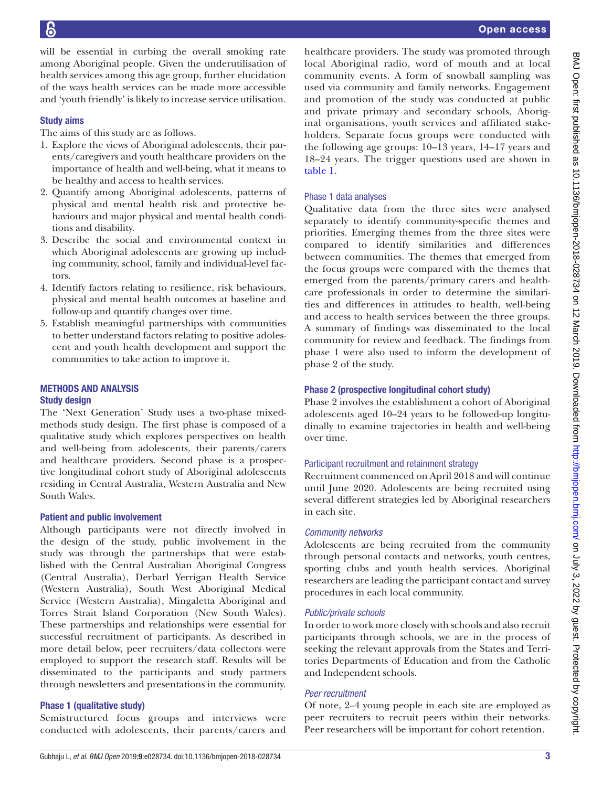will be essential in curbing the overall smoking rate among Aboriginal people. Given the underutilisation of health services among this age group, further elucidation of the ways health services can be made more accessible and 'youth friendly' is likely to increase service utilisation.

# Study aims

The aims of this study are as follows.

- 1. Explore the views of Aboriginal adolescents, their parents/caregivers and youth healthcare providers on the importance of health and well-being, what it means to be healthy and access to health services.
- 2. Quantify among Aboriginal adolescents, patterns of physical and mental health risk and protective behaviours and major physical and mental health conditions and disability.
- 3. Describe the social and environmental context in which Aboriginal adolescents are growing up including community, school, family and individual-level factors.
- 4. Identify factors relating to resilience, risk behaviours, physical and mental health outcomes at baseline and follow-up and quantify changes over time.
- 5. Establish meaningful partnerships with communities to better understand factors relating to positive adolescent and youth health development and support the communities to take action to improve it.

# Methods and analysis

# Study design

The 'Next Generation' Study uses a two-phase mixedmethods study design. The first phase is composed of a qualitative study which explores perspectives on health and well-being from adolescents, their parents/carers and healthcare providers. Second phase is a prospective longitudinal cohort study of Aboriginal adolescents residing in Central Australia, Western Australia and New South Wales.

## Patient and public involvement

Although participants were not directly involved in the design of the study, public involvement in the study was through the partnerships that were established with the Central Australian Aboriginal Congress (Central Australia), Derbarl Yerrigan Health Service (Western Australia), South West Aboriginal Medical Service (Western Australia), Mingaletta Aboriginal and Torres Strait Island Corporation (New South Wales). These partnerships and relationships were essential for successful recruitment of participants. As described in more detail below, peer recruiters/data collectors were employed to support the research staff. Results will be disseminated to the participants and study partners through newsletters and presentations in the community.

## Phase 1 (qualitative study)

Semistructured focus groups and interviews were conducted with adolescents, their parents/carers and

healthcare providers. The study was promoted through local Aboriginal radio, word of mouth and at local community events. A form of snowball sampling was used via community and family networks. Engagement and promotion of the study was conducted at public and private primary and secondary schools, Aboriginal organisations, youth services and affiliated stakeholders. Separate focus groups were conducted with the following age groups: 10–13 years, 14–17 years and 18–24 years. The trigger questions used are shown in [table](#page-3-0) 1.

## Phase 1 data analyses

Qualitative data from the three sites were analysed separately to identify community-specific themes and priorities. Emerging themes from the three sites were compared to identify similarities and differences between communities. The themes that emerged from the focus groups were compared with the themes that emerged from the parents/primary carers and healthcare professionals in order to determine the similarities and differences in attitudes to health, well-being and access to health services between the three groups. A summary of findings was disseminated to the local community for review and feedback. The findings from phase 1 were also used to inform the development of phase 2 of the study.

## Phase 2 (prospective longitudinal cohort study)

Phase 2 involves the establishment a cohort of Aboriginal adolescents aged 10–24 years to be followed-up longitudinally to examine trajectories in health and well-being over time.

## Participant recruitment and retainment strategy

Recruitment commenced on April 2018 and will continue until June 2020. Adolescents are being recruited using several different strategies led by Aboriginal researchers in each site.

#### *Community networks*

Adolescents are being recruited from the community through personal contacts and networks, youth centres, sporting clubs and youth health services. Aboriginal researchers are leading the participant contact and survey procedures in each local community.

#### *Public/private schools*

In order to work more closely with schools and also recruit participants through schools, we are in the process of seeking the relevant approvals from the States and Territories Departments of Education and from the Catholic and Independent schools.

#### *Peer recruitment*

Of note, 2–4 young people in each site are employed as peer recruiters to recruit peers within their networks. Peer researchers will be important for cohort retention.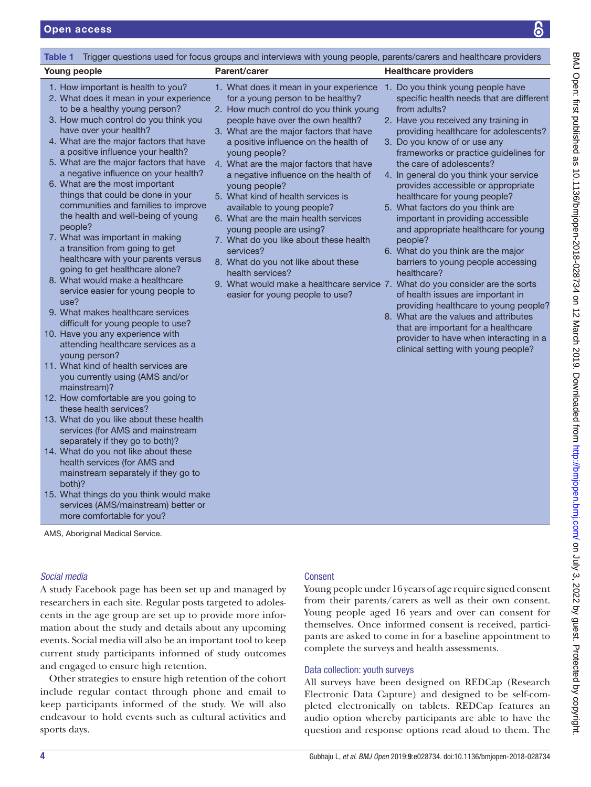<span id="page-3-0"></span>

| Table 1 Trigger questions used for focus groups and interviews with young people, parents/carers and healthcare providers                                                                                                                                                                                                                                                                                                                                                                                                                                                                                                                                                                                                                                                                                                                                                                                                                                                                                                                                                                                                                                                                                                                                                                                                                                                  |                                                                                                                                                                                                                                                                                                                                                                                                                                                                                                                                                                                                                                                                                                                                                   |                                                                                                                                                                                                                                                                                                                                                                                                                                                                                                                                                                                                                                                                                                                                                                                                                                                                            |  |
|----------------------------------------------------------------------------------------------------------------------------------------------------------------------------------------------------------------------------------------------------------------------------------------------------------------------------------------------------------------------------------------------------------------------------------------------------------------------------------------------------------------------------------------------------------------------------------------------------------------------------------------------------------------------------------------------------------------------------------------------------------------------------------------------------------------------------------------------------------------------------------------------------------------------------------------------------------------------------------------------------------------------------------------------------------------------------------------------------------------------------------------------------------------------------------------------------------------------------------------------------------------------------------------------------------------------------------------------------------------------------|---------------------------------------------------------------------------------------------------------------------------------------------------------------------------------------------------------------------------------------------------------------------------------------------------------------------------------------------------------------------------------------------------------------------------------------------------------------------------------------------------------------------------------------------------------------------------------------------------------------------------------------------------------------------------------------------------------------------------------------------------|----------------------------------------------------------------------------------------------------------------------------------------------------------------------------------------------------------------------------------------------------------------------------------------------------------------------------------------------------------------------------------------------------------------------------------------------------------------------------------------------------------------------------------------------------------------------------------------------------------------------------------------------------------------------------------------------------------------------------------------------------------------------------------------------------------------------------------------------------------------------------|--|
| Young people                                                                                                                                                                                                                                                                                                                                                                                                                                                                                                                                                                                                                                                                                                                                                                                                                                                                                                                                                                                                                                                                                                                                                                                                                                                                                                                                                               | Parent/carer                                                                                                                                                                                                                                                                                                                                                                                                                                                                                                                                                                                                                                                                                                                                      | <b>Healthcare providers</b>                                                                                                                                                                                                                                                                                                                                                                                                                                                                                                                                                                                                                                                                                                                                                                                                                                                |  |
| 1. How important is health to you?<br>2. What does it mean in your experience<br>to be a healthy young person?<br>3. How much control do you think you<br>have over your health?<br>4. What are the major factors that have<br>a positive influence your health?<br>5. What are the major factors that have<br>a negative influence on your health?<br>6. What are the most important<br>things that could be done in your<br>communities and families to improve<br>the health and well-being of young<br>people?<br>7. What was important in making<br>a transition from going to get<br>healthcare with your parents versus<br>going to get healthcare alone?<br>8. What would make a healthcare<br>service easier for young people to<br>use?<br>9. What makes healthcare services<br>difficult for young people to use?<br>10. Have you any experience with<br>attending healthcare services as a<br>young person?<br>11. What kind of health services are<br>you currently using (AMS and/or<br>mainstream)?<br>12. How comfortable are you going to<br>these health services?<br>13. What do you like about these health<br>services (for AMS and mainstream<br>separately if they go to both)?<br>14. What do you not like about these<br>health services (for AMS and<br>mainstream separately if they go to<br>both)?<br>15. What things do you think would make | 1. What does it mean in your experience<br>for a young person to be healthy?<br>2. How much control do you think young<br>people have over the own health?<br>3. What are the major factors that have<br>a positive influence on the health of<br>young people?<br>4. What are the major factors that have<br>a negative influence on the health of<br>young people?<br>5. What kind of health services is<br>available to young people?<br>6. What are the main health services<br>young people are using?<br>7. What do you like about these health<br>services?<br>8. What do you not like about these<br>health services?<br>9. What would make a healthcare service 7. What do you consider are the sorts<br>easier for young people to use? | 1. Do you think young people have<br>specific health needs that are different<br>from adults?<br>2. Have you received any training in<br>providing healthcare for adolescents?<br>3. Do you know of or use any<br>frameworks or practice guidelines for<br>the care of adolescents?<br>4. In general do you think your service<br>provides accessible or appropriate<br>healthcare for young people?<br>5. What factors do you think are<br>important in providing accessible<br>and appropriate healthcare for young<br>people?<br>6. What do you think are the major<br>barriers to young people accessing<br>healthcare?<br>of health issues are important in<br>providing healthcare to young people?<br>8. What are the values and attributes<br>that are important for a healthcare<br>provider to have when interacting in a<br>clinical setting with young people? |  |

AMS, Aboriginal Medical Service.

more comfortable for you?

services (AMS/mainstream) better or

# *Social media*

A study Facebook page has been set up and managed by researchers in each site. Regular posts targeted to adolescents in the age group are set up to provide more information about the study and details about any upcoming events. Social media will also be an important tool to keep current study participants informed of study outcomes and engaged to ensure high retention.

Other strategies to ensure high retention of the cohort include regular contact through phone and email to keep participants informed of the study. We will also endeavour to hold events such as cultural activities and sports days.

# Consent

Young people under 16 years of age require signed consent from their parents/carers as well as their own consent. Young people aged 16 years and over can consent for themselves. Once informed consent is received, participants are asked to come in for a baseline appointment to complete the surveys and health assessments.

# Data collection: youth surveys

All surveys have been designed on REDCap (Research Electronic Data Capture) and designed to be self-completed electronically on tablets. REDCap features an audio option whereby participants are able to have the question and response options read aloud to them. The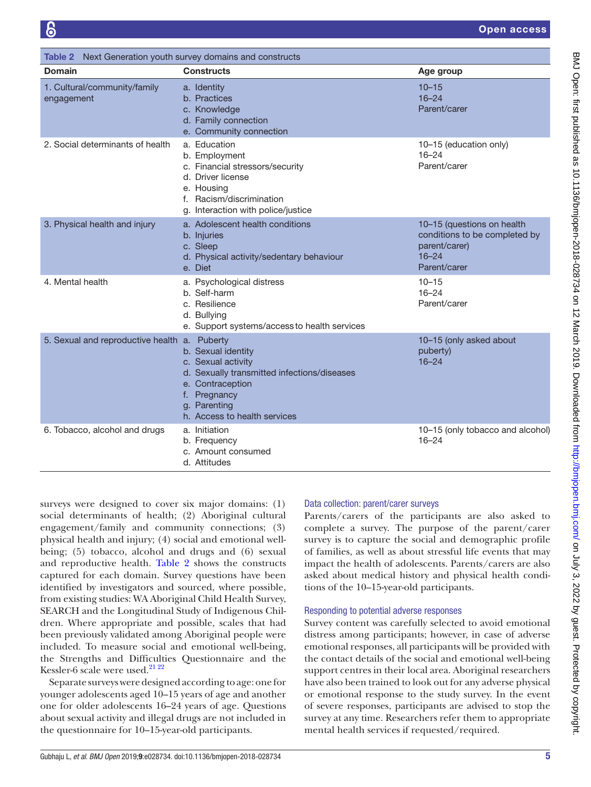<span id="page-4-0"></span>

| Next Generation youth survey domains and constructs<br>Table 2 |                                                                                                                                                                             |                                                                                                           |  |
|----------------------------------------------------------------|-----------------------------------------------------------------------------------------------------------------------------------------------------------------------------|-----------------------------------------------------------------------------------------------------------|--|
| <b>Domain</b>                                                  | <b>Constructs</b>                                                                                                                                                           | Age group                                                                                                 |  |
| 1. Cultural/community/family<br>engagement                     | a. Identity<br>b. Practices<br>c. Knowledge<br>d. Family connection<br>e. Community connection                                                                              | $10 - 15$<br>$16 - 24$<br>Parent/carer                                                                    |  |
| 2. Social determinants of health                               | a. Education<br>b. Employment<br>c. Financial stressors/security<br>d. Driver license<br>e. Housing<br>f. Racism/discrimination<br>g. Interaction with police/justice       | 10-15 (education only)<br>$16 - 24$<br>Parent/carer                                                       |  |
| 3. Physical health and injury                                  | a. Adolescent health conditions<br>b. Injuries<br>c. Sleep<br>d. Physical activity/sedentary behaviour<br>e. Diet                                                           | 10-15 (questions on health<br>conditions to be completed by<br>parent/carer)<br>$16 - 24$<br>Parent/carer |  |
| 4. Mental health                                               | a. Psychological distress<br>b. Self-harm<br>c. Resilience<br>d. Bullying<br>e. Support systems/access to health services                                                   | $10 - 15$<br>$16 - 24$<br>Parent/carer                                                                    |  |
| 5. Sexual and reproductive health a. Puberty                   | b. Sexual identity<br>c. Sexual activity<br>d. Sexually transmitted infections/diseases<br>e. Contraception<br>f. Pregnancy<br>g. Parenting<br>h. Access to health services | 10-15 (only asked about<br>puberty)<br>$16 - 24$                                                          |  |
| 6. Tobacco, alcohol and drugs                                  | a. Initiation<br>b. Frequency<br>c. Amount consumed<br>d. Attitudes                                                                                                         | 10-15 (only tobacco and alcohol)<br>$16 - 24$                                                             |  |

surveys were designed to cover six major domains: (1) social determinants of health; (2) Aboriginal cultural engagement/family and community connections; (3) physical health and injury; (4) social and emotional wellbeing; (5) tobacco, alcohol and drugs and (6) sexual and reproductive health. [Table](#page-4-0) 2 shows the constructs captured for each domain. Survey questions have been identified by investigators and sourced, where possible, from existing studies: WA Aboriginal Child Health Survey, SEARCH and the Longitudinal Study of Indigenous Children. Where appropriate and possible, scales that had been previously validated among Aboriginal people were included. To measure social and emotional well-being, the Strengths and Difficulties Questionnaire and the Kessler-6 scale were used.<sup>21</sup> <sup>22</sup>

Separate surveys were designed according to age: one for younger adolescents aged 10–15 years of age and another one for older adolescents 16–24 years of age. Questions about sexual activity and illegal drugs are not included in the questionnaire for 10–15-year-old participants.

# Data collection: parent/carer surveys

Parents/carers of the participants are also asked to complete a survey. The purpose of the parent/carer survey is to capture the social and demographic profile of families, as well as about stressful life events that may impact the health of adolescents. Parents/carers are also asked about medical history and physical health conditions of the 10–15-year-old participants.

#### Responding to potential adverse responses

Survey content was carefully selected to avoid emotional distress among participants; however, in case of adverse emotional responses, all participants will be provided with the contact details of the social and emotional well-being support centres in their local area. Aboriginal researchers have also been trained to look out for any adverse physical or emotional response to the study survey. In the event of severe responses, participants are advised to stop the survey at any time. Researchers refer them to appropriate mental health services if requested/required.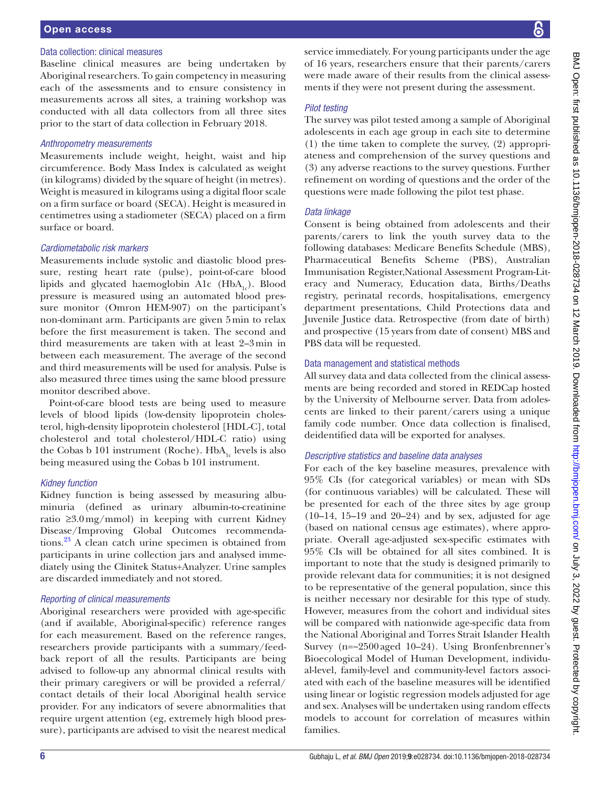# Open access

## Data collection: clinical measures

Baseline clinical measures are being undertaken by Aboriginal researchers. To gain competency in measuring each of the assessments and to ensure consistency in measurements across all sites, a training workshop was conducted with all data collectors from all three sites prior to the start of data collection in February 2018.

# *Anthropometry measurements*

Measurements include weight, height, waist and hip circumference. Body Mass Index is calculated as weight (in kilograms) divided by the square of height (in metres). Weight is measured in kilograms using a digital floor scale on a firm surface or board (SECA). Height is measured in centimetres using a stadiometer (SECA) placed on a firm surface or board.

# *Cardiometabolic risk markers*

Measurements include systolic and diastolic blood pressure, resting heart rate (pulse), point-of-care blood lipids and glycated haemoglobin A1c  $(HbA<sub>1c</sub>)$ . Blood pressure is measured using an automated blood pressure monitor (Omron HEM-907) on the participant's non-dominant arm. Participants are given 5min to relax before the first measurement is taken. The second and third measurements are taken with at least 2–3min in between each measurement. The average of the second and third measurements will be used for analysis. Pulse is also measured three times using the same blood pressure monitor described above.

Point-of-care blood tests are being used to measure levels of blood lipids (low-density lipoprotein cholesterol, high-density lipoprotein cholesterol [HDL-C], total cholesterol and total cholesterol/HDL-C ratio) using the Cobas b 101 instrument (Roche).  $HbA_{1c}$  levels is also being measured using the Cobas b 101 instrument.

# *Kidney function*

Kidney function is being assessed by measuring albuminuria (defined as urinary albumin-to-creatinine ratio ≥3.0mg/mmol) in keeping with current Kidney Disease/Improving Global Outcomes recommenda-tions.<sup>[23](#page-7-15)</sup> A clean catch urine specimen is obtained from participants in urine collection jars and analysed immediately using the Clinitek Status+Analyzer. Urine samples are discarded immediately and not stored.

## *Reporting of clinical measurements*

Aboriginal researchers were provided with age-specific (and if available, Aboriginal-specific) reference ranges for each measurement. Based on the reference ranges, researchers provide participants with a summary/feedback report of all the results. Participants are being advised to follow-up any abnormal clinical results with their primary caregivers or will be provided a referral/ contact details of their local Aboriginal health service provider. For any indicators of severe abnormalities that require urgent attention (eg, extremely high blood pressure), participants are advised to visit the nearest medical

service immediately. For young participants under the age of 16 years, researchers ensure that their parents/carers were made aware of their results from the clinical assessments if they were not present during the assessment.

# *Pilot testing*

The survey was pilot tested among a sample of Aboriginal adolescents in each age group in each site to determine (1) the time taken to complete the survey, (2) appropriateness and comprehension of the survey questions and (3) any adverse reactions to the survey questions. Further refinement on wording of questions and the order of the questions were made following the pilot test phase.

# *Data linkage*

Consent is being obtained from adolescents and their parents/carers to link the youth survey data to the following databases: Medicare Benefits Schedule (MBS), Pharmaceutical Benefits Scheme (PBS), Australian Immunisation Register,National Assessment Program-Literacy and Numeracy, Education data, Births/Deaths registry, perinatal records, hospitalisations, emergency department presentations, Child Protections data and Juvenile Justice data. Retrospective (from date of birth) and prospective (15 years from date of consent) MBS and PBS data will be requested.

# Data management and statistical methods

All survey data and data collected from the clinical assessments are being recorded and stored in REDCap hosted by the University of Melbourne server. Data from adolescents are linked to their parent/carers using a unique family code number. Once data collection is finalised, deidentified data will be exported for analyses.

# *Descriptive statistics and baseline data analyses*

For each of the key baseline measures, prevalence with 95% CIs (for categorical variables) or mean with SDs (for continuous variables) will be calculated. These will be presented for each of the three sites by age group  $(10-14, 15-19, 20-24)$  and by sex, adjusted for age (based on national census age estimates), where appropriate. Overall age-adjusted sex-specific estimates with 95% CIs will be obtained for all sites combined. It is important to note that the study is designed primarily to provide relevant data for communities; it is not designed to be representative of the general population, since this is neither necessary nor desirable for this type of study. However, measures from the cohort and individual sites will be compared with nationwide age-specific data from the National Aboriginal and Torres Strait Islander Health Survey (n=~2500aged 10–24). Using Bronfenbrenner's Bioecological Model of Human Development, individual-level, family-level and community-level factors associated with each of the baseline measures will be identified using linear or logistic regression models adjusted for age and sex. Analyses will be undertaken using random effects models to account for correlation of measures within families.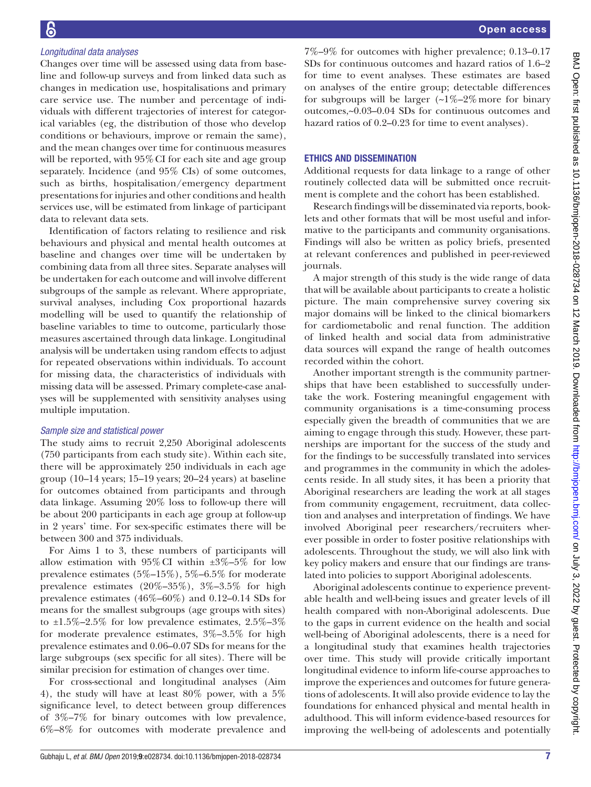## *Longitudinal data analyses*

Changes over time will be assessed using data from baseline and follow-up surveys and from linked data such as changes in medication use, hospitalisations and primary care service use. The number and percentage of individuals with different trajectories of interest for categorical variables (eg, the distribution of those who develop conditions or behaviours, improve or remain the same), and the mean changes over time for continuous measures will be reported, with  $95\%$  CI for each site and age group separately. Incidence (and 95% CIs) of some outcomes, such as births, hospitalisation/emergency department presentations for injuries and other conditions and health services use, will be estimated from linkage of participant data to relevant data sets.

Identification of factors relating to resilience and risk behaviours and physical and mental health outcomes at baseline and changes over time will be undertaken by combining data from all three sites. Separate analyses will be undertaken for each outcome and will involve different subgroups of the sample as relevant. Where appropriate, survival analyses, including Cox proportional hazards modelling will be used to quantify the relationship of baseline variables to time to outcome, particularly those measures ascertained through data linkage. Longitudinal analysis will be undertaken using random effects to adjust for repeated observations within individuals. To account for missing data, the characteristics of individuals with missing data will be assessed. Primary complete-case analyses will be supplemented with sensitivity analyses using multiple imputation.

## *Sample size and statistical power*

The study aims to recruit 2,250 Aboriginal adolescents (750 participants from each study site). Within each site, there will be approximately 250 individuals in each age group (10–14 years; 15–19 years; 20–24 years) at baseline for outcomes obtained from participants and through data linkage. Assuming 20% loss to follow-up there will be about 200 participants in each age group at follow-up in 2 years' time. For sex-specific estimates there will be between 300 and 375 individuals.

For Aims 1 to 3, these numbers of participants will allow estimation with  $95\%$  CI within  $\pm 3\%$ –5% for low prevalence estimates (5%–15%), 5%–6.5% for moderate prevalence estimates (20%–35%), 3%–3.5% for high prevalence estimates (46%–60%) and 0.12–0.14 SDs for means for the smallest subgroups (age groups with sites) to  $\pm 1.5\%$ –2.5% for low prevalence estimates, 2.5%–3% for moderate prevalence estimates, 3%–3.5% for high prevalence estimates and 0.06–0.07 SDs for means for the large subgroups (sex specific for all sites). There will be similar precision for estimation of changes over time.

For cross-sectional and longitudinal analyses (Aim 4), the study will have at least 80% power, with a 5% significance level, to detect between group differences of 3%–7% for binary outcomes with low prevalence, 6%–8% for outcomes with moderate prevalence and

7%–9% for outcomes with higher prevalence; 0.13–0.17 SDs for continuous outcomes and hazard ratios of 1.6–2 for time to event analyses. These estimates are based on analyses of the entire group; detectable differences for subgroups will be larger  $\left(\sim1\%-2\% \text{ more for binary}\right)$ outcomes,~0.03–0.04 SDs for continuous outcomes and hazard ratios of 0.2–0.23 for time to event analyses).

# Ethics and dissemination

Additional requests for data linkage to a range of other routinely collected data will be submitted once recruitment is complete and the cohort has been established.

Research findings will be disseminated via reports, booklets and other formats that will be most useful and informative to the participants and community organisations. Findings will also be written as policy briefs, presented at relevant conferences and published in peer-reviewed journals.

A major strength of this study is the wide range of data that will be available about participants to create a holistic picture. The main comprehensive survey covering six major domains will be linked to the clinical biomarkers for cardiometabolic and renal function. The addition of linked health and social data from administrative data sources will expand the range of health outcomes recorded within the cohort.

Another important strength is the community partnerships that have been established to successfully undertake the work. Fostering meaningful engagement with community organisations is a time-consuming process especially given the breadth of communities that we are aiming to engage through this study. However, these partnerships are important for the success of the study and for the findings to be successfully translated into services and programmes in the community in which the adolescents reside. In all study sites, it has been a priority that Aboriginal researchers are leading the work at all stages from community engagement, recruitment, data collection and analyses and interpretation of findings. We have involved Aboriginal peer researchers/recruiters wherever possible in order to foster positive relationships with adolescents. Throughout the study, we will also link with key policy makers and ensure that our findings are translated into policies to support Aboriginal adolescents.

Aboriginal adolescents continue to experience preventable health and well-being issues and greater levels of ill health compared with non-Aboriginal adolescents. Due to the gaps in current evidence on the health and social well-being of Aboriginal adolescents, there is a need for a longitudinal study that examines health trajectories over time. This study will provide critically important longitudinal evidence to inform life-course approaches to improve the experiences and outcomes for future generations of adolescents. It will also provide evidence to lay the foundations for enhanced physical and mental health in adulthood. This will inform evidence-based resources for improving the well-being of adolescents and potentially